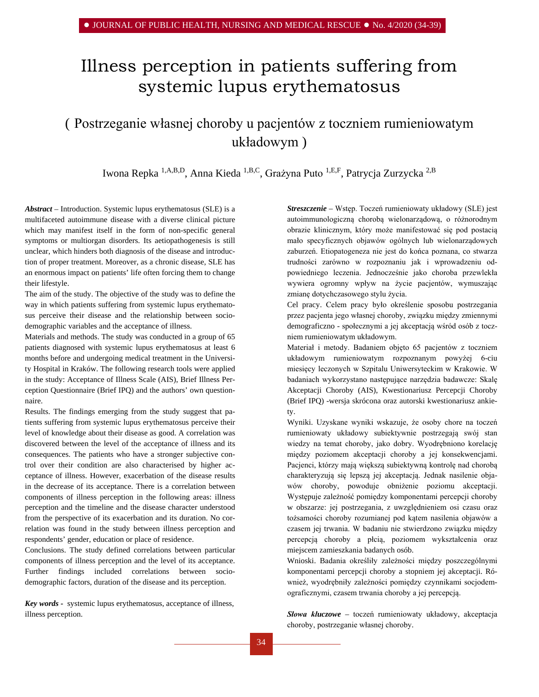# Illness perception in patients suffering from systemic lupus erythematosus

# ( Postrzeganie własnej choroby u pacjentów z toczniem rumieniowatym układowym )

Iwona Repka 1,A,B,D, Anna Kieda 1,B,C, Grażyna Puto 1,E,F, Patrycja Zurzycka 2,B

*Abstract –* Introduction. Systemic lupus erythematosus (SLE) is a multifaceted autoimmune disease with a diverse clinical picture which may manifest itself in the form of non-specific general symptoms or multiorgan disorders. Its [aetiopathogenesis](https://www.diki.pl/slownik-angielskiego?q=aetiopathogenesis) is still unclear, which hinders both diagnosis of the disease and introduction of proper treatment. Moreover, as a chronic disease, SLE has an enormous impact on patients' life often forcing them to change their lifestyle.

The aim of the study. The objective of the study was to define the way in which patients suffering from systemic lupus erythematosus perceive their disease and the relationship between sociodemographic variables and the acceptance of illness.

Materials and methods. The study was conducted in a group of 65 patients diagnosed with systemic lupus erythematosus at least 6 months before and undergoing medical treatment in the University Hospital in Kraków. The following research tools were applied in the study: Acceptance of Illness Scale (AIS), Brief Illness Perception Questionnaire (Brief IPQ) and the authors' own questionnaire.

Results. The findings emerging from the study suggest that patients suffering from systemic lupus erythematosus perceive their level of knowledge about their disease as good. A correlation was discovered between the level of the acceptance of illness and its consequences. The patients who have a stronger subjective control over their condition are also characterised by higher acceptance of illness. However, exacerbation of the disease results in the decrease of its acceptance. There is a correlation between components of illness perception in the following areas: illness perception and the timeline and the disease character understood from the perspective of its exacerbation and its duration. No correlation was found in the study between illness perception and respondents' gender, education or place of residence.

Conclusions. The study defined correlations between particular components of illness perception and the level of its acceptance. Further findings included correlations between sociodemographic factors, duration of the disease and its perception.

*Key words -* systemic lupus erythematosus, acceptance of illness, illness perception.

*Streszczenie –* Wstęp. Toczeń rumieniowaty układowy (SLE) jest autoimmunologiczną chorobą wielonarządową, o różnorodnym obrazie klinicznym, który może manifestować się pod postacią mało specyficznych objawów ogólnych lub wielonarządowych zaburzeń. Etiopatogeneza nie jest do końca poznana, co stwarza trudności zarówno w rozpoznaniu jak i wprowadzeniu odpowiedniego leczenia. Jednocześnie jako choroba przewlekła wywiera ogromny wpływ na życie pacjentów, wymuszając zmianę dotychczasowego stylu życia.

Cel pracy. Celem pracy było określenie sposobu postrzegania przez pacjenta jego własnej choroby, związku między zmiennymi demograficzno - społecznymi a jej akceptacją wśród osób z toczniem rumieniowatym układowym.

Materiał i metody. Badaniem objęto 65 pacjentów z toczniem układowym rumieniowatym rozpoznanym powyżej 6-ciu miesięcy leczonych w Szpitalu Uniwersyteckim w Krakowie. W badaniach wykorzystano następujące narzędzia badawcze: Skalę Akceptacji Choroby (AIS), Kwestionariusz Percepcji Choroby (Brief IPQ) -wersja skrócona oraz autorski kwestionariusz ankiety.

Wyniki. Uzyskane wyniki wskazuje, że osoby chore na toczeń rumieniowaty układowy subiektywnie postrzegają swój stan wiedzy na temat choroby, jako dobry. Wyodrębniono korelację między poziomem akceptacji choroby a jej konsekwencjami. Pacjenci, którzy mają większą subiektywną kontrolę nad chorobą charakteryzują się lepszą jej akceptacją. Jednak nasilenie objawów choroby, powoduje obniżenie poziomu akceptacji. Występuje zależność pomiędzy komponentami percepcji choroby w obszarze: jej postrzegania, z uwzględnieniem osi czasu oraz tożsamości choroby rozumianej pod kątem nasilenia objawów a czasem jej trwania. W badaniu nie stwierdzono związku między percepcją choroby a płcią, poziomem wykształcenia oraz miejscem zamieszkania badanych osób.

Wnioski. Badania określiły zależności między poszczególnymi komponentami percepcji choroby a stopniem jej akceptacji. Również, wyodrębniły zależności pomiędzy czynnikami socjodemograficznymi, czasem trwania choroby a jej percepcją.

*Słowa kluczowe –* toczeń rumieniowaty układowy, akceptacja choroby, postrzeganie własnej choroby.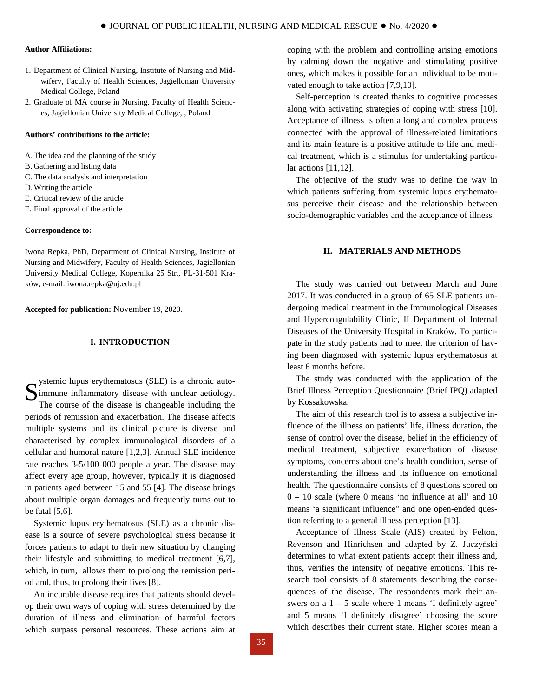# **Author Affiliations:**

- 1. Department of Clinical Nursing, Institute of Nursing and Midwifery, Faculty of Health Sciences, Jagiellonian University Medical College, Poland
- 2. Graduate of MA course in Nursing, Faculty of Health Sciences, Jagiellonian University Medical College, , Poland

# **Authors' contributions to the article:**

- A.The idea and the planning of the study
- B. Gathering and listing data
- C. The data analysis and interpretation
- D.Writing the article
- E. Critical review of the article
- F. Final approval of the article

#### **Correspondence to:**

Iwona Repka, PhD, Department of Clinical Nursing, Institute of Nursing and Midwifery, Faculty of Health Sciences, Jagiellonian University Medical College, Kopernika 25 Str., PL-31-501 Kraków, e-mail: [iwona.repka@uj.edu.pl](mailto:iwona.repka@uj.edu.pl)

**Accepted for publication:** November 19, 2020.

# **I. INTRODUCTION**

ystemic lupus erythematosus (SLE) is a chronic autoimmune inflammatory disease with unclear aetiology. The course of the disease is changeable including the periods of remission and exacerbation. The disease affects multiple systems and its clinical picture is diverse and characterised by complex immunological disorders of a cellular and humoral nature [1,2,3]. Annual SLE incidence rate reaches 3-5/100 000 people a year. The disease may affect every age group, however, typically it is diagnosed in patients aged between 15 and 55 [4]. The disease brings about multiple organ damages and frequently turns out to be fatal [5,6]. S

Systemic lupus erythematosus (SLE) as a chronic disease is a source of severe psychological stress because it forces patients to adapt to their new situation by changing their lifestyle and submitting to medical treatment [6,7], which, in turn, allows them to prolong the remission period and, thus, to prolong their lives [8].

An incurable disease requires that patients should develop their own ways of coping with stress determined by the duration of illness and elimination of harmful factors which surpass personal resources. These actions aim at coping with the problem and controlling arising emotions by calming down the negative and stimulating positive ones, which makes it possible for an individual to be motivated enough to take action [7,9,10].

Self-perception is created thanks to cognitive processes along with activating strategies of coping with stress [10]. Acceptance of illness is often a long and complex process connected with the approval of illness-related limitations and its main feature is a positive attitude to life and medical treatment, which is a stimulus for undertaking particular actions [11,12].

The objective of the study was to define the way in which patients suffering from systemic lupus erythematosus perceive their disease and the relationship between socio-demographic variables and the acceptance of illness.

# **II. MATERIALS AND METHODS**

The study was carried out between March and June 2017. It was conducted in a group of 65 SLE patients undergoing medical treatment in the Immunological Diseases and Hypercoagulability Clinic, II Department of Internal Diseases of the University Hospital in Kraków. To participate in the study patients had to meet the criterion of having been diagnosed with systemic lupus erythematosus at least 6 months before.

The study was conducted with the application of the Brief Illness Perception Questionnaire (Brief IPQ) adapted by Kossakowska.

The aim of this research tool is to assess a subjective influence of the illness on patients' life, illness duration, the sense of control over the disease, belief in the efficiency of medical treatment, subjective exacerbation of disease symptoms, concerns about one's health condition, sense of understanding the illness and its influence on emotional health. The questionnaire consists of 8 questions scored on 0 – 10 scale (where 0 means 'no influence at all' and 10 means 'a significant influence" and one open-ended question referring to a general illness perception [13].

Acceptance of Illness Scale (AIS) created by Felton, Revenson and Hinrichsen and adapted by Z. Juczyński determines to what extent patients accept their illness and, thus, verifies the intensity of negative emotions. This research tool consists of 8 statements describing the consequences of the disease. The respondents mark their answers on a  $1 - 5$  scale where 1 means 'I definitely agree' and 5 means 'I definitely disagree' choosing the score which describes their current state. Higher scores mean a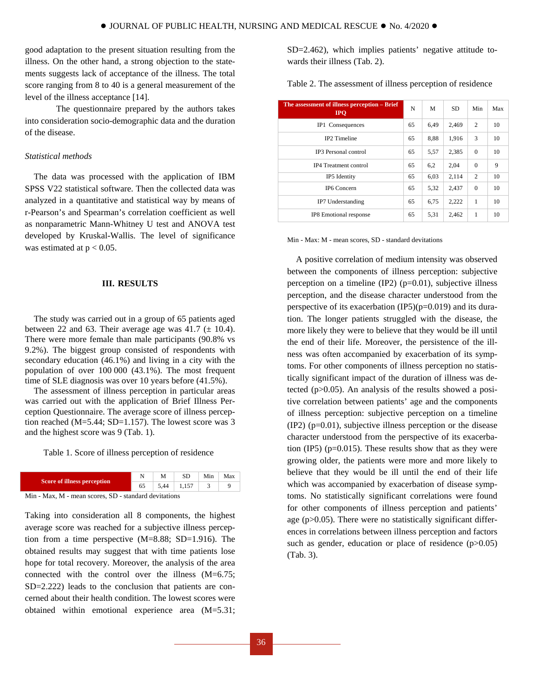good adaptation to the present situation resulting from the illness. On the other hand, a strong objection to the statements suggests lack of acceptance of the illness. The total score ranging from 8 to 40 is a general measurement of the level of the illness acceptance [14].

The questionnaire prepared by the authors takes into consideration socio-demographic data and the duration of the disease.

# *Statistical methods*

The data was processed with the application of IBM SPSS V22 statistical software. Then the collected data was analyzed in a quantitative and statistical way by means of r-Pearson's and Spearman's correlation coefficient as well as nonparametric Mann-Whitney U test and ANOVA test developed by Kruskal-Wallis. The level of significance was estimated at  $p < 0.05$ .

# **III. RESULTS**

The study was carried out in a group of 65 patients aged between 22 and 63. Their average age was 41.7  $(\pm 10.4)$ . There were more female than male participants (90.8% vs 9.2%). The biggest group consisted of respondents with secondary education (46.1%) and living in a city with the population of over 100 000 (43.1%). The most frequent time of SLE diagnosis was over 10 years before (41.5%).

The assessment of illness perception in particular areas was carried out with the application of Brief Illness Perception Questionnaire. The average score of illness perception reached (M=5.44; SD=1.157). The lowest score was 3 and the highest score was 9 (Tab. 1).

Table 1. Score of illness perception of residence

| Score of illness perception                       |   | М    | Min | Max |
|---------------------------------------------------|---|------|-----|-----|
|                                                   |   | 5 44 |     |     |
| ___<br>and the same of<br>the control of the con- | . |      |     |     |

Min - Max, M - mean scores, SD - standard devitations

Taking into consideration all 8 components, the highest average score was reached for a subjective illness perception from a time perspective (M=8.88; SD=1.916). The obtained results may suggest that with time patients lose hope for total recovery. Moreover, the analysis of the area connected with the control over the illness (M=6.75; SD=2.222) leads to the conclusion that patients are concerned about their health condition. The lowest scores were obtained within emotional experience area (M=5.31;

SD=2.462), which implies patients' negative attitude towards their illness (Tab. 2).

| The assessment of illness perception - Brief<br><b>IPO</b> | N  | M    | <b>SD</b> | Min            | Max |
|------------------------------------------------------------|----|------|-----------|----------------|-----|
| IP1 Consequences                                           | 65 | 6.49 | 2.469     | $\overline{c}$ | 10  |
| <b>IP2</b> Timeline                                        | 65 | 8,88 | 1,916     | 3              | 10  |
| <b>IP3</b> Personal control                                | 65 | 5,57 | 2,385     | $\theta$       | 10  |
| <b>IP4</b> Treatment control                               | 65 | 6,2  | 2,04      | $\mathbf{0}$   | 9   |
| IP5 Identity                                               | 65 | 6,03 | 2.114     | $\overline{c}$ | 10  |
| IP6 Concern                                                | 65 | 5,32 | 2,437     | $\Omega$       | 10  |
| IP7 Understanding                                          | 65 | 6,75 | 2,222     | 1              | 10  |
| IP8 Emotional response                                     | 65 | 5,31 | 2.462     | 1              | 10  |

Min - Max: M - mean scores, SD - standard devitations

A positive correlation of medium intensity was observed between the components of illness perception: subjective perception on a timeline  $(IP2)$  ( $p=0.01$ ), subjective illness perception, and the disease character understood from the perspective of its exacerbation  $(IP5)(p=0.019)$  and its duration. The longer patients struggled with the disease, the more likely they were to believe that they would be ill until the end of their life. Moreover, the persistence of the illness was often accompanied by exacerbation of its symptoms. For other components of illness perception no statistically significant impact of the duration of illness was detected (p>0.05). An analysis of the results showed a positive correlation between patients' age and the components of illness perception: subjective perception on a timeline (IP2) (p=0.01), subjective illness perception or the disease character understood from the perspective of its exacerbation (IP5) ( $p=0.015$ ). These results show that as they were growing older, the patients were more and more likely to believe that they would be ill until the end of their life which was accompanied by exacerbation of disease symptoms. No statistically significant correlations were found for other components of illness perception and patients' age (p>0.05). There were no statistically significant differences in correlations between illness perception and factors such as gender, education or place of residence  $(p>0.05)$ (Tab. 3).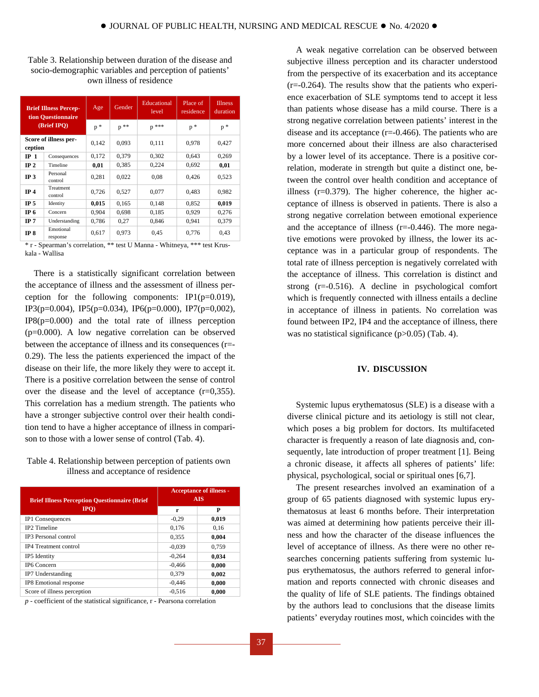| Table 3. Relationship between duration of the disease and |
|-----------------------------------------------------------|
| socio-demographic variables and perception of patients'   |
| own illness of residence                                  |

| <b>Brief Illness Percep-</b><br>tion Questionnaire<br>(Brief IPO) |                       | Age   | Gender | Educational<br>level | Place of<br>residence | <b>Illness</b><br>duration |
|-------------------------------------------------------------------|-----------------------|-------|--------|----------------------|-----------------------|----------------------------|
|                                                                   |                       | $p *$ | $p$ ** | $p$ ***              | $p *$                 | $p *$                      |
| ception                                                           | Score of illness per- | 0.142 | 0.093  | 0.111                | 0,978                 | 0.427                      |
| IP <sub>1</sub>                                                   | Consequences          | 0,172 | 0,379  | 0,302                | 0,643                 | 0,269                      |
| IP <sub>2</sub>                                                   | Timeline              | 0,01  | 0.385  | 0.224                | 0.692                 | 0,01                       |
| IP <sub>3</sub>                                                   | Personal<br>control   | 0.281 | 0.022  | 0.08                 | 0.426                 | 0,523                      |
| IP <sub>4</sub>                                                   | Treatment<br>control  | 0,726 | 0,527  | 0.077                | 0.483                 | 0.982                      |
| IP <sub>5</sub>                                                   | Identity              | 0,015 | 0.165  | 0,148                | 0.852                 | 0,019                      |
| IP <sub>6</sub>                                                   | Concern               | 0.904 | 0.698  | 0.185                | 0.929                 | 0,276                      |
| IP 7                                                              | Understanding         | 0,786 | 0,27   | 0,846                | 0,941                 | 0,379                      |
| IP 8                                                              | Emotional<br>response | 0,617 | 0.973  | 0.45                 | 0,776                 | 0,43                       |

\* r - Spearman's correlation, \*\* test U Manna - Whitneya, \*\*\* test Kruskala - Wallisa

There is a statistically significant correlation between the acceptance of illness and the assessment of illness perception for the following components:  $IP1(p=0.019)$ , IP3(p=0.004), IP5(p=0.034), IP6(p=0.000), IP7(p=0,002),  $IP8(p=0.000)$  and the total rate of illness perception (p=0.000). A low negative correlation can be observed between the acceptance of illness and its consequences (r=- 0.29). The less the patients experienced the impact of the disease on their life, the more likely they were to accept it. There is a positive correlation between the sense of control over the disease and the level of acceptance  $(r=0,355)$ . This correlation has a medium strength. The patients who have a stronger subjective control over their health condition tend to have a higher acceptance of illness in comparison to those with a lower sense of control (Tab. 4).

# Table 4. Relationship between perception of patients own illness and acceptance of residence

| <b>Brief Illness Perception Questionnaire (Brief)</b> | <b>Acceptance of illness -</b><br><b>AIS</b> |       |  |  |
|-------------------------------------------------------|----------------------------------------------|-------|--|--|
| IPO                                                   | r                                            | P     |  |  |
| IP1 Consequences                                      | $-0.29$                                      | 0,019 |  |  |
| <b>IP2</b> Timeline                                   | 0.176                                        | 0.16  |  |  |
| <b>IP3</b> Personal control                           | 0,355                                        | 0,004 |  |  |
| <b>IP4</b> Treatment control                          | $-0.039$                                     | 0.759 |  |  |
| IP5 Identity                                          | $-0.264$                                     | 0.034 |  |  |
| IP6 Concern                                           | $-0.466$                                     | 0.000 |  |  |
| IP7 Understanding                                     | 0.379                                        | 0.002 |  |  |
| IP8 Emotional response                                | $-0.446$                                     | 0,000 |  |  |
| Score of illness perception                           | $-0.516$                                     | 0.000 |  |  |

*p* - coefficient of the statistical significance, r - Pearsona correlation

A weak negative correlation can be observed between subjective illness perception and its character understood from the perspective of its exacerbation and its acceptance  $(r=0.264)$ . The results show that the patients who experience exacerbation of SLE symptoms tend to accept it less than patients whose disease has a mild course. There is a strong negative correlation between patients' interest in the disease and its acceptance (r=-0.466). The patients who are more concerned about their illness are also characterised by a lower level of its acceptance. There is a positive correlation, moderate in strength but quite a distinct one, between the control over health condition and acceptance of illness (r=0.379). The higher coherence, the higher acceptance of illness is observed in patients. There is also a strong negative correlation between emotional experience and the acceptance of illness (r=-0.446). The more negative emotions were provoked by illness, the lower its acceptance was in a particular group of respondents. The total rate of illness perception is negatively correlated with the acceptance of illness. This correlation is distinct and strong (r=-0.516). A decline in psychological comfort which is frequently connected with illness entails a decline in acceptance of illness in patients. No correlation was found between IP2, IP4 and the acceptance of illness, there was no statistical significance (p>0.05) (Tab. 4).

#### **IV. DISCUSSION**

Systemic lupus erythematosus (SLE) is a disease with a diverse clinical picture and its aetiology is still not clear, which poses a big problem for doctors. Its multifaceted character is frequently a reason of late diagnosis and, consequently, late introduction of proper treatment [1]. Being a chronic disease, it affects all spheres of patients' life: physical, psychological, social or spiritual ones [6,7].

The present researches involved an examination of a group of 65 patients diagnosed with systemic lupus erythematosus at least 6 months before. Their interpretation was aimed at determining how patients perceive their illness and how the character of the disease influences the level of acceptance of illness. As there were no other researches concerning patients suffering from systemic lupus erythematosus, the authors referred to general information and reports connected with chronic diseases and the quality of life of SLE patients. The findings obtained by the authors lead to conclusions that the disease limits patients' everyday routines most, which coincides with the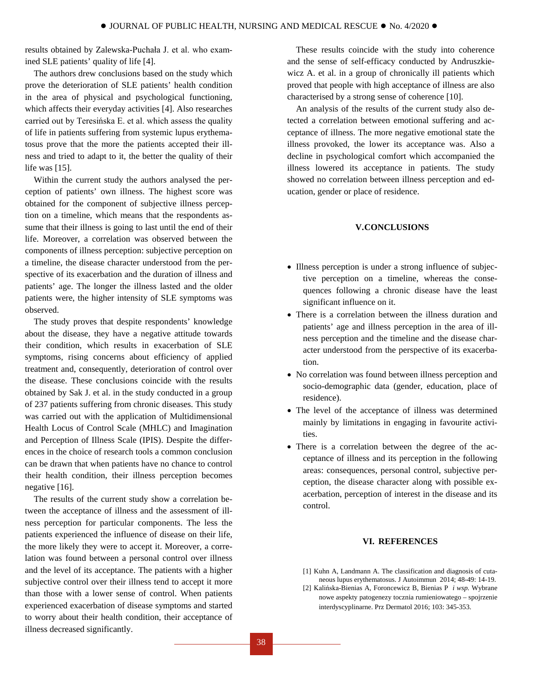results obtained by Zalewska-Puchała J. et al. who examined SLE patients' quality of life [4].

The authors drew conclusions based on the study which prove the deterioration of SLE patients' health condition in the area of physical and psychological functioning, which affects their everyday activities [4]. Also researches carried out by Teresińska E. et al. which assess the quality of life in patients suffering from systemic lupus erythematosus prove that the more the patients accepted their illness and tried to adapt to it, the better the quality of their life was [15].

Within the current study the authors analysed the perception of patients' own illness. The highest score was obtained for the component of subjective illness perception on a timeline, which means that the respondents assume that their illness is going to last until the end of their life. Moreover, a correlation was observed between the components of illness perception: subjective perception on a timeline, the disease character understood from the perspective of its exacerbation and the duration of illness and patients' age. The longer the illness lasted and the older patients were, the higher intensity of SLE symptoms was observed.

The study proves that despite respondents' knowledge about the disease, they have a negative attitude towards their condition, which results in exacerbation of SLE symptoms, rising concerns about efficiency of applied treatment and, consequently, deterioration of control over the disease. These conclusions coincide with the results obtained by Sak J. et al. in the study conducted in a group of 237 patients suffering from chronic diseases. This study was carried out with the application of Multidimensional Health Locus of Control Scale (MHLC) and Imagination and Perception of Illness Scale (IPIS). Despite the differences in the choice of research tools a common conclusion can be drawn that when patients have no chance to control their health condition, their illness perception becomes negative [16].

The results of the current study show a correlation between the acceptance of illness and the assessment of illness perception for particular components. The less the patients experienced the influence of disease on their life, the more likely they were to accept it. Moreover, a correlation was found between a personal control over illness and the level of its acceptance. The patients with a higher subjective control over their illness tend to accept it more than those with a lower sense of control. When patients experienced exacerbation of disease symptoms and started to worry about their health condition, their acceptance of illness decreased significantly.

These results coincide with the study into coherence and the sense of self-efficacy conducted by Andruszkiewicz A. et al. in a group of chronically ill patients which proved that people with high acceptance of illness are also characterised by a strong sense of coherence [10].

An analysis of the results of the current study also detected a correlation between emotional suffering and acceptance of illness. The more negative emotional state the illness provoked, the lower its acceptance was. Also a decline in psychological comfort which accompanied the illness lowered its acceptance in patients. The study showed no correlation between illness perception and education, gender or place of residence.

# **V.CONCLUSIONS**

- Illness perception is under a strong influence of subjective perception on a timeline, whereas the consequences following a chronic disease have the least significant influence on it.
- There is a correlation between the illness duration and patients' age and illness perception in the area of illness perception and the timeline and the disease character understood from the perspective of its exacerbation.
- No correlation was found between illness perception and socio-demographic data (gender, education, place of residence).
- The level of the acceptance of illness was determined mainly by limitations in engaging in favourite activities.
- There is a correlation between the degree of the acceptance of illness and its perception in the following areas: consequences, personal control, subjective perception, the disease character along with possible exacerbation, perception of interest in the disease and its control.

# **VI. REFERENCES**

- [1] Kuhn A, Landmann A. The classification and diagnosis of cutaneous lupus erythematosus. J Autoimmun 2014; 48-49: 14-19.
- [2] Kalińska-Bienias A, Foroncewicz B, Bienias P *i wsp.* Wybrane nowe aspekty patogenezy tocznia rumieniowatego – spojrzenie interdyscyplinarne. Prz Dermatol 2016; 103: 345-353.